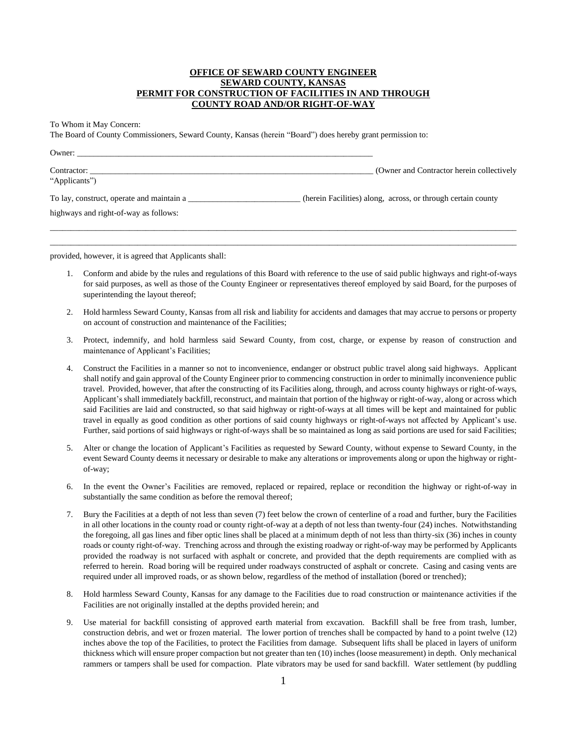## **OFFICE OF SEWARD COUNTY ENGINEER SEWARD COUNTY, KANSAS PERMIT FOR CONSTRUCTION OF FACILITIES IN AND THROUGH COUNTY ROAD AND/OR RIGHT-OF-WAY**

To Whom it May Concern:

The Board of County Commissioners, Seward County, Kansas (herein "Board") does hereby grant permission to:

| Owner:                                    |                                                              |
|-------------------------------------------|--------------------------------------------------------------|
| Contractor:<br>"Applicants")              | (Owner and Contractor herein collectively                    |
| To lay, construct, operate and maintain a | (herein Facilities) along, across, or through certain county |
| highways and right-of-way as follows:     |                                                              |
|                                           |                                                              |

\_\_\_\_\_\_\_\_\_\_\_\_\_\_\_\_\_\_\_\_\_\_\_\_\_\_\_\_\_\_\_\_\_\_\_\_\_\_\_\_\_\_\_\_\_\_\_\_\_\_\_\_\_\_\_\_\_\_\_\_\_\_\_\_\_\_\_\_\_\_\_\_\_\_\_\_\_\_\_\_\_\_\_\_\_\_\_\_\_\_\_\_\_\_\_\_\_\_\_\_\_\_\_\_\_\_\_\_\_\_\_\_

provided, however, it is agreed that Applicants shall:

- 1. Conform and abide by the rules and regulations of this Board with reference to the use of said public highways and right-of-ways for said purposes, as well as those of the County Engineer or representatives thereof employed by said Board, for the purposes of superintending the layout thereof;
- 2. Hold harmless Seward County, Kansas from all risk and liability for accidents and damages that may accrue to persons or property on account of construction and maintenance of the Facilities;
- 3. Protect, indemnify, and hold harmless said Seward County, from cost, charge, or expense by reason of construction and maintenance of Applicant's Facilities;
- 4. Construct the Facilities in a manner so not to inconvenience, endanger or obstruct public travel along said highways. Applicant shall notify and gain approval of the County Engineer prior to commencing construction in order to minimally inconvenience public travel. Provided, however, that after the constructing of its Facilities along, through, and across county highways or right-of-ways, Applicant's shall immediately backfill, reconstruct, and maintain that portion of the highway or right-of-way, along or across which said Facilities are laid and constructed, so that said highway or right-of-ways at all times will be kept and maintained for public travel in equally as good condition as other portions of said county highways or right-of-ways not affected by Applicant's use. Further, said portions of said highways or right-of-ways shall be so maintained as long as said portions are used for said Facilities;
- 5. Alter or change the location of Applicant's Facilities as requested by Seward County, without expense to Seward County, in the event Seward County deems it necessary or desirable to make any alterations or improvements along or upon the highway or rightof-way;
- 6. In the event the Owner's Facilities are removed, replaced or repaired, replace or recondition the highway or right-of-way in substantially the same condition as before the removal thereof;
- 7. Bury the Facilities at a depth of not less than seven (7) feet below the crown of centerline of a road and further, bury the Facilities in all other locations in the county road or county right-of-way at a depth of not less than twenty-four (24) inches. Notwithstanding the foregoing, all gas lines and fiber optic lines shall be placed at a minimum depth of not less than thirty-six (36) inches in county roads or county right-of-way. Trenching across and through the existing roadway or right-of-way may be performed by Applicants provided the roadway is not surfaced with asphalt or concrete, and provided that the depth requirements are complied with as referred to herein. Road boring will be required under roadways constructed of asphalt or concrete. Casing and casing vents are required under all improved roads, or as shown below, regardless of the method of installation (bored or trenched);
- 8. Hold harmless Seward County, Kansas for any damage to the Facilities due to road construction or maintenance activities if the Facilities are not originally installed at the depths provided herein; and
- 9. Use material for backfill consisting of approved earth material from excavation. Backfill shall be free from trash, lumber, construction debris, and wet or frozen material. The lower portion of trenches shall be compacted by hand to a point twelve (12) inches above the top of the Facilities, to protect the Facilities from damage. Subsequent lifts shall be placed in layers of uniform thickness which will ensure proper compaction but not greater than ten (10) inches (loose measurement) in depth. Only mechanical rammers or tampers shall be used for compaction. Plate vibrators may be used for sand backfill. Water settlement (by puddling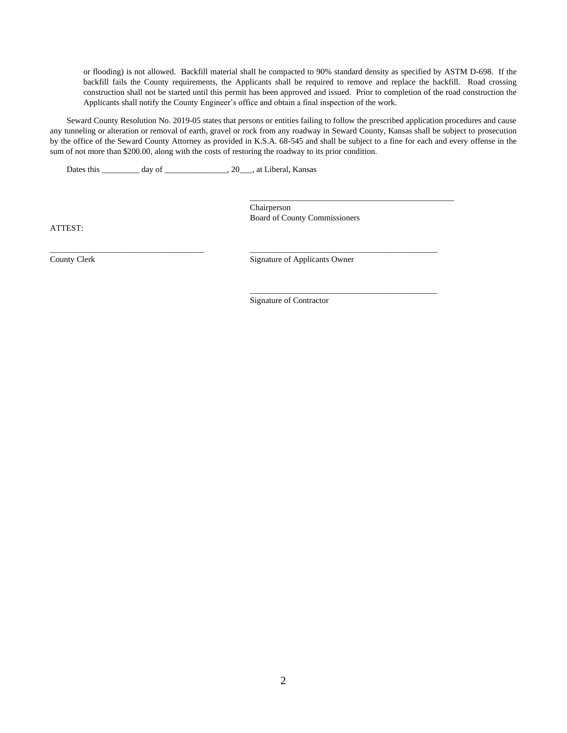or flooding) is not allowed. Backfill material shall be compacted to 90% standard density as specified by ASTM D-698. If the backfill fails the County requirements, the Applicants shall be required to remove and replace the backfill. Road crossing construction shall not be started until this permit has been approved and issued. Prior to completion of the road construction the Applicants shall notify the County Engineer's office and obtain a final inspection of the work.

Seward County Resolution No. 2019-05 states that persons or entities failing to follow the prescribed application procedures and cause any tunneling or alteration or removal of earth, gravel or rock from any roadway in Seward County, Kansas shall be subject to prosecution by the office of the Seward County Attorney as provided in K.S.A. 68-545 and shall be subject to a fine for each and every offense in the sum of not more than \$200.00, along with the costs of restoring the roadway to its prior condition.

Dates this \_\_\_\_\_\_\_\_\_ day of \_\_\_\_\_\_\_\_\_\_\_\_, 20\_\_\_, at Liberal, Kansas

Chairperson Board of County Commissioners

\_\_\_\_\_\_\_\_\_\_\_\_\_\_\_\_\_\_\_\_\_\_\_\_\_\_\_\_\_\_\_\_\_\_\_\_\_\_\_\_\_\_\_\_\_\_\_\_\_

\_\_\_\_\_\_\_\_\_\_\_\_\_\_\_\_\_\_\_\_\_\_\_\_\_\_\_\_\_\_\_\_\_\_\_\_\_\_\_\_\_\_\_\_\_

ATTEST:

County Clerk Signature of Applicants Owner

Signature of Contractor

\_\_\_\_\_\_\_\_\_\_\_\_\_\_\_\_\_\_\_\_\_\_\_\_\_\_\_\_\_\_\_\_\_\_\_\_\_ \_\_\_\_\_\_\_\_\_\_\_\_\_\_\_\_\_\_\_\_\_\_\_\_\_\_\_\_\_\_\_\_\_\_\_\_\_\_\_\_\_\_\_\_\_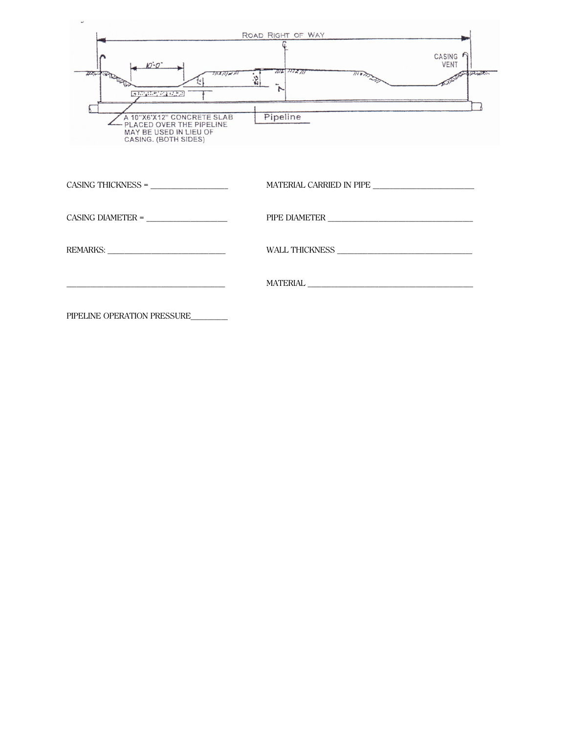| $M - Q$                                                                                                                                        | ROAD RIGHT OF WAY<br>CASING<br><b>VENT</b>      |
|------------------------------------------------------------------------------------------------------------------------------------------------|-------------------------------------------------|
| $J\overline{J}$ $\overline{J}$ $\overline{J}$ $\overline{J}$ $\overline{J}$ $\overline{J}$ $\overline{J}$<br><b>IS END A LOCAL OF BUILDING</b> | 1112 7772711<br>$\overline{m}$<br><b>UZSUDS</b> |
| A 10"X6'X12" CONCRETE SLAB<br>- PLACED OVER THE PIPELINE<br>MAY BE USED IN LIEU OF<br>CASING. (BOTH SIDES)                                     | Pipeline                                        |
| $CASING THICKNESS =$                                                                                                                           |                                                 |
|                                                                                                                                                |                                                 |
|                                                                                                                                                |                                                 |
|                                                                                                                                                |                                                 |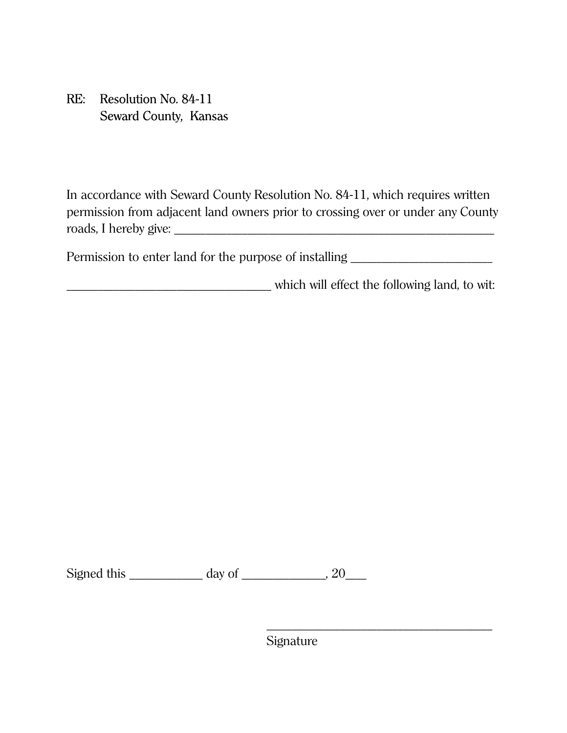## RE: Resolution No. 84-11 Seward County, Kansas

In accordance with Seward County Resolution No. 84-11, which requires written permission from adjacent land owners prior to crossing over or under any County roads, I hereby give:

Permission to enter land for the purpose of installing \_\_\_\_\_\_\_\_\_\_\_\_\_\_\_\_\_\_\_\_\_\_\_\_\_

\_\_\_\_\_\_\_\_\_\_\_\_\_\_\_\_\_\_\_\_\_\_\_\_\_\_\_\_\_\_\_\_\_\_\_\_\_\_\_ which will effect the following land, to wit:

Signed this \_\_\_\_\_\_\_\_\_\_\_\_\_\_ day of \_\_\_\_\_\_\_\_\_\_\_\_\_\_\_\_, 20\_\_\_\_

Signature

 $\frac{1}{\sqrt{2}}$  ,  $\frac{1}{\sqrt{2}}$  ,  $\frac{1}{\sqrt{2}}$  ,  $\frac{1}{\sqrt{2}}$  ,  $\frac{1}{\sqrt{2}}$  ,  $\frac{1}{\sqrt{2}}$  ,  $\frac{1}{\sqrt{2}}$  ,  $\frac{1}{\sqrt{2}}$  ,  $\frac{1}{\sqrt{2}}$  ,  $\frac{1}{\sqrt{2}}$  ,  $\frac{1}{\sqrt{2}}$  ,  $\frac{1}{\sqrt{2}}$  ,  $\frac{1}{\sqrt{2}}$  ,  $\frac{1}{\sqrt{2}}$  ,  $\frac{1}{\sqrt{2}}$